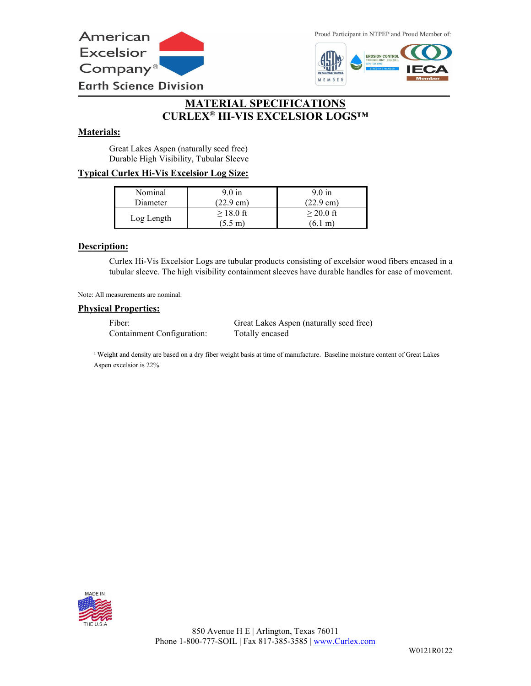

Proud Participant in NTPEP and Proud Member of:



# **MATERIAL SPECIFICATIONS CURLEX® HI-VIS EXCELSIOR LOGS™**

### **Materials:**

Great Lakes Aspen (naturally seed free) Durable High Visibility, Tubular Sleeve

## **Typical Curlex Hi-Vis Excelsior Log Size:**

| Nominal    | 9.0 in                          | $9.0 \text{ in}$                 |
|------------|---------------------------------|----------------------------------|
| Diameter   | $(22.9 \text{ cm})$             | $(22.9 \text{ cm})$              |
| Log Length | $>18.0$ ft<br>$(5.5 \text{ m})$ | $>$ 20.0 ft<br>$(6.1 \text{ m})$ |

### **Description:**

Curlex Hi-Vis Excelsior Logs are tubular products consisting of excelsior wood fibers encased in a tubular sleeve. The high visibility containment sleeves have durable handles for ease of movement.

Note: All measurements are nominal.

#### **Physical Properties:**

Containment Configuration: Totally encased

Fiber: Great Lakes Aspen (naturally seed free)

<sup>a</sup> Weight and density are based on a dry fiber weight basis at time of manufacture. Baseline moisture content of Great Lakes Aspen excelsior is 22%.